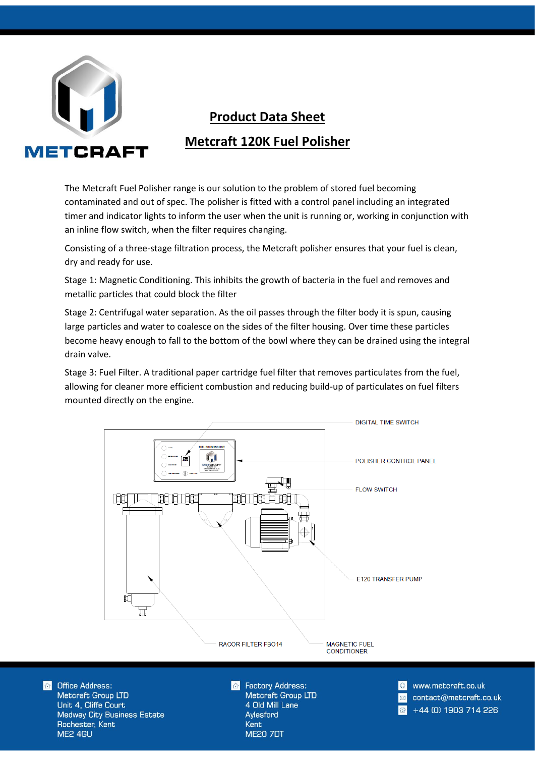

## **Product Data Sheet Metcraft 120K Fuel Polisher**

The Metcraft Fuel Polisher range is our solution to the problem of stored fuel becoming contaminated and out of spec. The polisher is fitted with a control panel including an integrated timer and indicator lights to inform the user when the unit is running or, working in conjunction with an inline flow switch, when the filter requires changing.

Consisting of a three-stage filtration process, the Metcraft polisher ensures that your fuel is clean, dry and ready for use.

Stage 1: Magnetic Conditioning. This inhibits the growth of bacteria in the fuel and removes and metallic particles that could block the filter

Stage 2: Centrifugal water separation. As the oil passes through the filter body it is spun, causing large particles and water to coalesce on the sides of the filter housing. Over time these particles become heavy enough to fall to the bottom of the bowl where they can be drained using the integral drain valve.

Stage 3: Fuel Filter. A traditional paper cartridge fuel filter that removes particulates from the fuel, allowing for cleaner more efficient combustion and reducing build-up of particulates on fuel filters mounted directly on the engine.



 $\triangle$ **Office Address:** Metcraft Group LTD Unit 4, Cliffe Court **Medway City Business Estate** Rochester, Kent ME2 4GU

**Factory Address:** Metcraft Group LTD 4 Old Mill Lane Aylesford **Kent ME20 7DT** 

www.metcraft.co.uk contact@metcraft.co.uk +44 (0) 1903 714 226